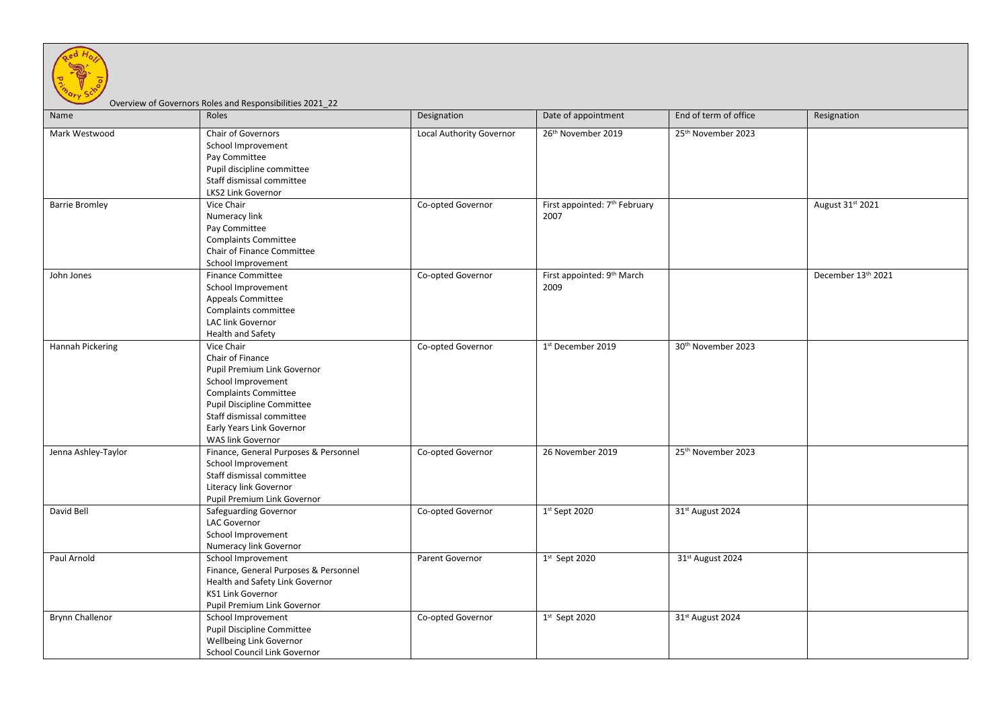

## Overview of Governors Roles and Responsibilities 2021\_22

| Name                   | Roles                                                                                                                                                                                                                                  | Designation              | Date of appointment                               | End of term of office          | Resignation        |
|------------------------|----------------------------------------------------------------------------------------------------------------------------------------------------------------------------------------------------------------------------------------|--------------------------|---------------------------------------------------|--------------------------------|--------------------|
| Mark Westwood          | Chair of Governors<br>School Improvement<br>Pay Committee<br>Pupil discipline committee<br>Staff dismissal committee<br>LKS2 Link Governor                                                                                             | Local Authority Governor | 26th November 2019                                | 25th November 2023             |                    |
| <b>Barrie Bromley</b>  | Vice Chair<br>Numeracy link<br>Pay Committee<br><b>Complaints Committee</b><br>Chair of Finance Committee<br>School Improvement                                                                                                        | Co-opted Governor        | First appointed: 7 <sup>th</sup> February<br>2007 |                                | August 31st 2021   |
| John Jones             | <b>Finance Committee</b><br>School Improvement<br>Appeals Committee<br>Complaints committee<br>LAC link Governor<br>Health and Safety                                                                                                  | Co-opted Governor        | First appointed: 9 <sup>th</sup> March<br>2009    |                                | December 13th 2021 |
| Hannah Pickering       | Vice Chair<br>Chair of Finance<br>Pupil Premium Link Governor<br>School Improvement<br><b>Complaints Committee</b><br><b>Pupil Discipline Committee</b><br>Staff dismissal committee<br>Early Years Link Governor<br>WAS link Governor | Co-opted Governor        | 1st December 2019                                 | 30 <sup>th</sup> November 2023 |                    |
| Jenna Ashley-Taylor    | Finance, General Purposes & Personnel<br>School Improvement<br>Staff dismissal committee<br>Literacy link Governor<br>Pupil Premium Link Governor                                                                                      | Co-opted Governor        | 26 November 2019                                  | 25th November 2023             |                    |
| David Bell             | Safeguarding Governor<br><b>LAC Governor</b><br>School Improvement<br>Numeracy link Governor                                                                                                                                           | Co-opted Governor        | $1st$ Sept 2020                                   | 31st August 2024               |                    |
| Paul Arnold            | School Improvement<br>Finance, General Purposes & Personnel<br>Health and Safety Link Governor<br><b>KS1 Link Governor</b><br>Pupil Premium Link Governor                                                                              | Parent Governor          | $1st$ Sept 2020                                   | 31st August 2024               |                    |
| <b>Brynn Challenor</b> | School Improvement<br>Pupil Discipline Committee<br>Wellbeing Link Governor<br>School Council Link Governor                                                                                                                            | Co-opted Governor        | $1st$ Sept 2020                                   | 31st August 2024               |                    |